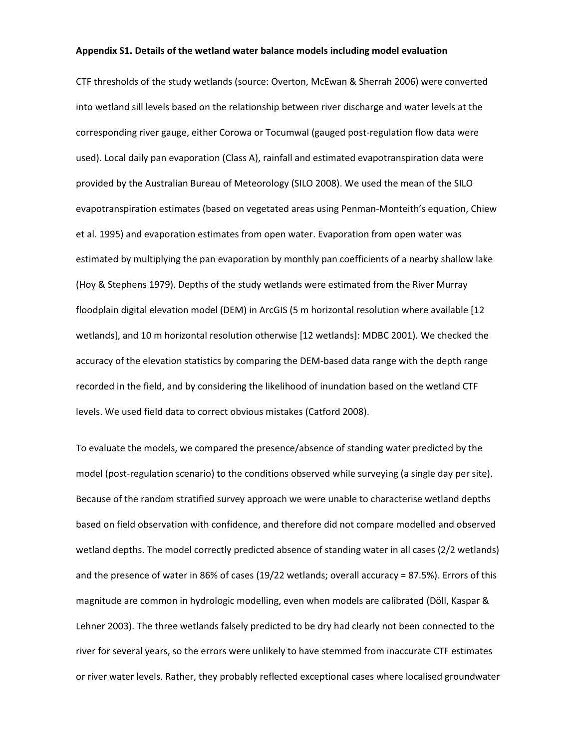## **Appendix S1. Details of the wetland water balance models including model evaluation**

CTF thresholds of the study wetlands (source: Overton, McEwan & Sherrah 2006) were converted into wetland sill levels based on the relationship between river discharge and water levels at the corresponding river gauge, either Corowa or Tocumwal (gauged post-regulation flow data were used). Local daily pan evaporation (Class A), rainfall and estimated evapotranspiration data were provided by the Australian Bureau of Meteorology (SILO 2008). We used the mean of the SILO evapotranspiration estimates (based on vegetated areas using Penman-Monteith's equation, Chiew et al. 1995) and evaporation estimates from open water. Evaporation from open water was estimated by multiplying the pan evaporation by monthly pan coefficients of a nearby shallow lake (Hoy & Stephens 1979). Depths of the study wetlands were estimated from the River Murray floodplain digital elevation model (DEM) in ArcGIS (5 m horizontal resolution where available [12 wetlands], and 10 m horizontal resolution otherwise [12 wetlands]: MDBC 2001)*.* We checked the accuracy of the elevation statistics by comparing the DEM-based data range with the depth range recorded in the field, and by considering the likelihood of inundation based on the wetland CTF levels. We used field data to correct obvious mistakes (Catford 2008).

To evaluate the models, we compared the presence/absence of standing water predicted by the model (post-regulation scenario) to the conditions observed while surveying (a single day per site). Because of the random stratified survey approach we were unable to characterise wetland depths based on field observation with confidence, and therefore did not compare modelled and observed wetland depths. The model correctly predicted absence of standing water in all cases (2/2 wetlands) and the presence of water in 86% of cases (19/22 wetlands; overall accuracy = 87.5%). Errors of this magnitude are common in hydrologic modelling, even when models are calibrated (Döll, Kaspar & Lehner 2003). The three wetlands falsely predicted to be dry had clearly not been connected to the river for several years, so the errors were unlikely to have stemmed from inaccurate CTF estimates or river water levels. Rather, they probably reflected exceptional cases where localised groundwater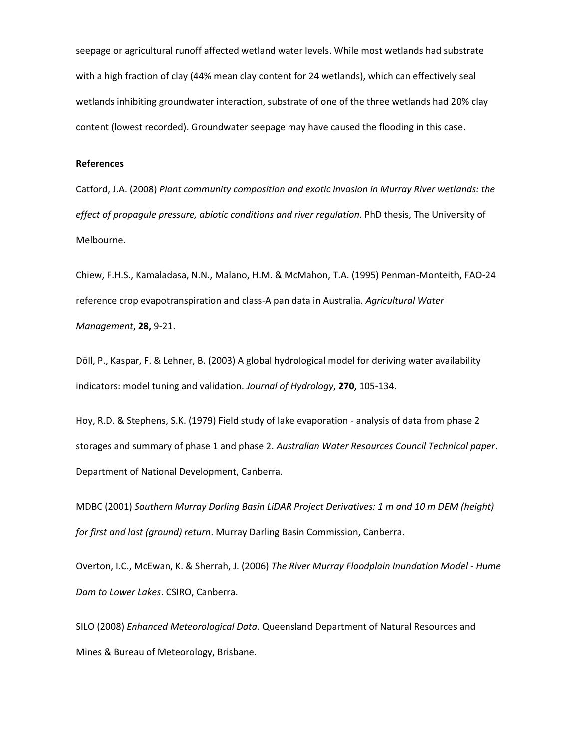seepage or agricultural runoff affected wetland water levels. While most wetlands had substrate with a high fraction of clay (44% mean clay content for 24 wetlands), which can effectively seal wetlands inhibiting groundwater interaction, substrate of one of the three wetlands had 20% clay content (lowest recorded). Groundwater seepage may have caused the flooding in this case.

## **References**

Catford, J.A. (2008) *Plant community composition and exotic invasion in Murray River wetlands: the effect of propagule pressure, abiotic conditions and river regulation*. PhD thesis, The University of Melbourne.

Chiew, F.H.S., Kamaladasa, N.N., Malano, H.M. & McMahon, T.A. (1995) Penman-Monteith, FAO-24 reference crop evapotranspiration and class-A pan data in Australia. *Agricultural Water Management*, **28,** 9-21.

Döll, P., Kaspar, F. & Lehner, B. (2003) A global hydrological model for deriving water availability indicators: model tuning and validation. *Journal of Hydrology*, **270,** 105-134.

Hoy, R.D. & Stephens, S.K. (1979) Field study of lake evaporation - analysis of data from phase 2 storages and summary of phase 1 and phase 2. *Australian Water Resources Council Technical paper*. Department of National Development, Canberra.

MDBC (2001) *Southern Murray Darling Basin LiDAR Project Derivatives: 1 m and 10 m DEM (height) for first and last (ground) return*. Murray Darling Basin Commission, Canberra.

Overton, I.C., McEwan, K. & Sherrah, J. (2006) *The River Murray Floodplain Inundation Model - Hume Dam to Lower Lakes*. CSIRO, Canberra.

SILO (2008) *Enhanced Meteorological Data*. Queensland Department of Natural Resources and Mines & Bureau of Meteorology, Brisbane.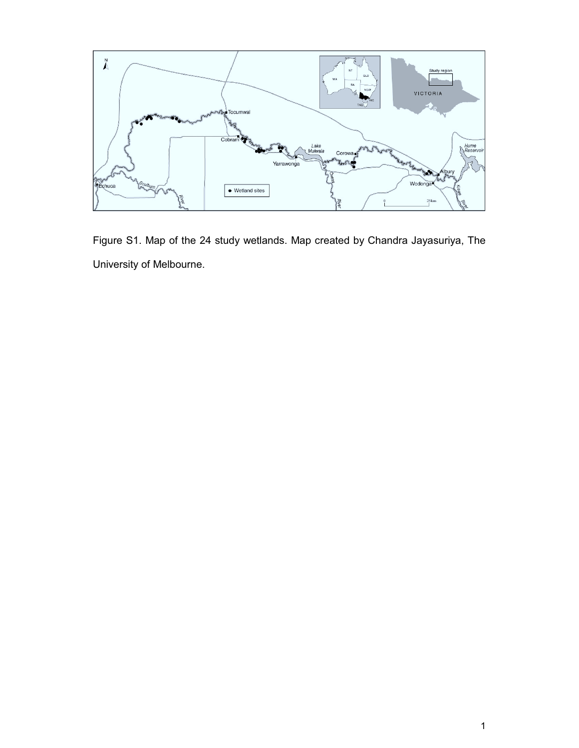

Figure S1. Map of the 24 study wetlands. Map created by Chandra Jayasuriya, The University of Melbourne.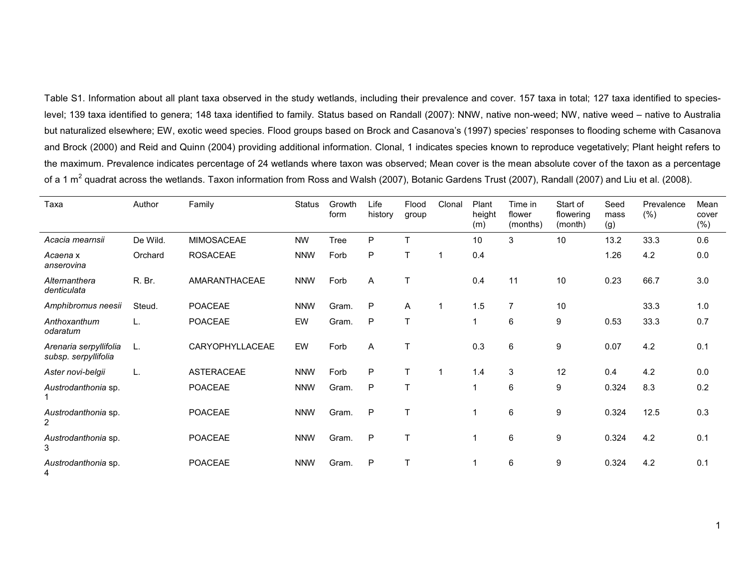Table S1. Information about all plant taxa observed in the study wetlands, including their prevalence and cover. 157 taxa in total; 127 taxa identified to specieslevel; 139 taxa identified to genera; 148 taxa identified to family. Status based on Randall (2007): NNW, native non-weed; NW, native weed – native to Australia but naturalized elsewhere; EW, exotic weed species. Flood groups based on Brock and Casanova's (1997) species' responses to flooding scheme with Casanova and Brock (2000) and Reid and Quinn (2004) providing additional information. Clonal, 1 indicates species known to reproduce vegetatively; Plant height refers to the maximum. Prevalence indicates percentage of 24 wetlands where taxon was observed; Mean cover is the mean absolute cover of the taxon as a percentage of a 1 m $^2$  quadrat across the wetlands. Taxon information from Ross and Walsh (2007), Botanic Gardens Trust (2007), Randall (2007) and Liu et al. (2008).

| Taxa                                           | Author   | Family            | Status     | Growth<br>form | Life<br>history | Flood<br>group | Clonal | Plant<br>height<br>(m)  | Time in<br>flower<br>(months) | Start of<br>flowering<br>(month) | Seed<br>mass<br>(g) | Prevalence<br>(% ) | Mean<br>cover<br>(% ) |
|------------------------------------------------|----------|-------------------|------------|----------------|-----------------|----------------|--------|-------------------------|-------------------------------|----------------------------------|---------------------|--------------------|-----------------------|
| Acacia mearnsii                                | De Wild. | <b>MIMOSACEAE</b> | <b>NW</b>  | Tree           | P               | T              |        | 10                      | 3                             | 10                               | 13.2                | 33.3               | 0.6                   |
| Acaena x<br>anserovina                         | Orchard  | <b>ROSACEAE</b>   | <b>NNW</b> | Forb           | P               | T              |        | 0.4                     |                               |                                  | 1.26                | 4.2                | 0.0                   |
| Alternanthera<br>denticulata                   | R. Br.   | AMARANTHACEAE     | <b>NNW</b> | Forb           | A               | T              |        | 0.4                     | 11                            | 10                               | 0.23                | 66.7               | 3.0                   |
| Amphibromus neesii                             | Steud.   | <b>POACEAE</b>    | <b>NNW</b> | Gram.          | P               | Α              | 1      | 1.5                     | $\overline{7}$                | 10                               |                     | 33.3               | 1.0                   |
| Anthoxanthum<br>odaratum                       | L.       | <b>POACEAE</b>    | EW         | Gram.          | P               | T              |        | $\overline{\mathbf{1}}$ | 6                             | 9                                | 0.53                | 33.3               | 0.7                   |
| Arenaria serpyllifolia<br>subsp. serpyllifolia | L.       | CARYOPHYLLACEAE   | EW         | Forb           | Α               | T              |        | 0.3                     | 6                             | 9                                | 0.07                | 4.2                | 0.1                   |
| Aster novi-belgii                              | L.       | ASTERACEAE        | <b>NNW</b> | Forb           | P               | T              | -1     | 1.4                     | 3                             | 12                               | 0.4                 | 4.2                | 0.0                   |
| Austrodanthonia sp.                            |          | POACEAE           | <b>NNW</b> | Gram.          | P               | $\mathsf{T}$   |        | $\overline{ }$          | 6                             | 9                                | 0.324               | 8.3                | 0.2                   |
| Austrodanthonia sp.<br>$\overline{2}$          |          | POACEAE           | <b>NNW</b> | Gram.          | P               | T              |        | 1                       | 6                             | 9                                | 0.324               | 12.5               | 0.3                   |
| Austrodanthonia sp.<br>3                       |          | <b>POACEAE</b>    | <b>NNW</b> | Gram.          | P               | T              |        |                         | 6                             | 9                                | 0.324               | 4.2                | 0.1                   |
| Austrodanthonia sp.<br>4                       |          | POACEAE           | <b>NNW</b> | Gram.          | P               | Τ              |        |                         | 6                             | 9                                | 0.324               | 4.2                | 0.1                   |

1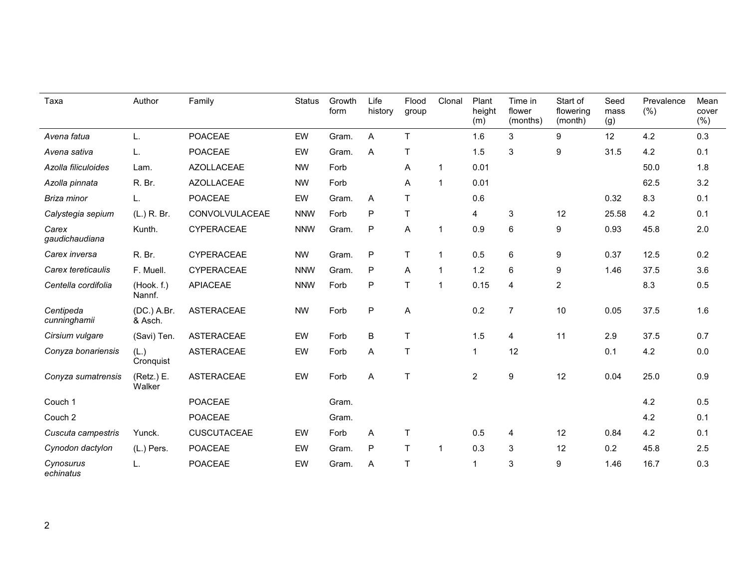| Taxa                      | Author                 | Family             | Status     | Growth<br>form | Life<br>history | Flood<br>group | Clonal       | Plant<br>height<br>(m) | Time in<br>flower<br>(months) | Start of<br>flowering<br>(month) | Seed<br>mass<br>(g) | Prevalence<br>(% ) | Mean<br>cover<br>(% ) |
|---------------------------|------------------------|--------------------|------------|----------------|-----------------|----------------|--------------|------------------------|-------------------------------|----------------------------------|---------------------|--------------------|-----------------------|
| Avena fatua               | L.                     | <b>POACEAE</b>     | EW         | Gram.          | A               | T              |              | 1.6                    | 3                             | 9                                | 12                  | 4.2                | 0.3                   |
| Avena sativa              | L.                     | <b>POACEAE</b>     | EW         | Gram.          | Α               | T              |              | 1.5                    | 3                             | 9                                | 31.5                | 4.2                | 0.1                   |
| Azolla filiculoides       | Lam.                   | <b>AZOLLACEAE</b>  | <b>NW</b>  | Forb           |                 | Α              | $\mathbf 1$  | 0.01                   |                               |                                  |                     | 50.0               | 1.8                   |
| Azolla pinnata            | R. Br.                 | <b>AZOLLACEAE</b>  | <b>NW</b>  | Forb           |                 | Α              | $\mathbf{1}$ | 0.01                   |                               |                                  |                     | 62.5               | 3.2                   |
| Briza minor               | L.                     | <b>POACEAE</b>     | EW         | Gram.          | Α               | T              |              | 0.6                    |                               |                                  | 0.32                | 8.3                | 0.1                   |
| Calystegia sepium         | (L.) R. Br.            | CONVOLVULACEAE     | <b>NNW</b> | Forb           | P               | $\sf T$        |              | 4                      | 3                             | 12                               | 25.58               | 4.2                | 0.1                   |
| Carex<br>gaudichaudiana   | Kunth.                 | CYPERACEAE         | <b>NNW</b> | Gram.          | P               | A              | $\mathbf{1}$ | 0.9                    | 6                             | 9                                | 0.93                | 45.8               | 2.0                   |
| Carex inversa             | R. Br.                 | <b>CYPERACEAE</b>  | <b>NW</b>  | Gram.          | $\sf P$         | T.             | $\mathbf{1}$ | 0.5                    | 6                             | 9                                | 0.37                | 12.5               | 0.2                   |
| Carex tereticaulis        | F. Muell.              | CYPERACEAE         | <b>NNW</b> | Gram.          | P               | Α              | $\mathbf{1}$ | 1.2                    | 6                             | 9                                | 1.46                | 37.5               | 3.6                   |
| Centella cordifolia       | (Hook. f.)<br>Nannf.   | <b>APIACEAE</b>    | <b>NNW</b> | Forb           | P               | T              | $\mathbf{1}$ | 0.15                   | 4                             | $\overline{c}$                   |                     | 8.3                | 0.5                   |
| Centipeda<br>cunninghamii | (DC.) A.Br.<br>& Asch. | <b>ASTERACEAE</b>  | <b>NW</b>  | Forb           | $\mathsf{P}$    | Α              |              | 0.2                    | $\overline{7}$                | 10                               | 0.05                | 37.5               | 1.6                   |
| Cirsium vulgare           | (Savi) Ten.            | <b>ASTERACEAE</b>  | EW         | Forb           | B               | T              |              | 1.5                    | 4                             | 11                               | 2.9                 | 37.5               | 0.7                   |
| Conyza bonariensis        | (L.)<br>Cronquist      | <b>ASTERACEAE</b>  | EW         | Forb           | Α               | T              |              | $\mathbf{1}$           | 12                            |                                  | 0.1                 | 4.2                | 0.0                   |
| Conyza sumatrensis        | (Retz.) E.<br>Walker   | <b>ASTERACEAE</b>  | EW         | Forb           | Α               | T              |              | $\overline{2}$         | 9                             | 12                               | 0.04                | 25.0               | 0.9                   |
| Couch 1                   |                        | <b>POACEAE</b>     |            | Gram.          |                 |                |              |                        |                               |                                  |                     | 4.2                | 0.5                   |
| Couch 2                   |                        | <b>POACEAE</b>     |            | Gram.          |                 |                |              |                        |                               |                                  |                     | 4.2                | 0.1                   |
| Cuscuta campestris        | Yunck.                 | <b>CUSCUTACEAE</b> | EW         | Forb           | Α               | T              |              | 0.5                    | 4                             | 12                               | 0.84                | 4.2                | 0.1                   |
| Cynodon dactylon          | (L.) Pers.             | POACEAE            | EW         | Gram.          | P               | T              | $\mathbf{1}$ | 0.3                    | 3                             | 12                               | 0.2                 | 45.8               | 2.5                   |
| Cynosurus<br>echinatus    | L.                     | <b>POACEAE</b>     | EW         | Gram.          | A               | $\mathsf T$    |              | $\mathbf{1}$           | 3                             | 9                                | 1.46                | 16.7               | 0.3                   |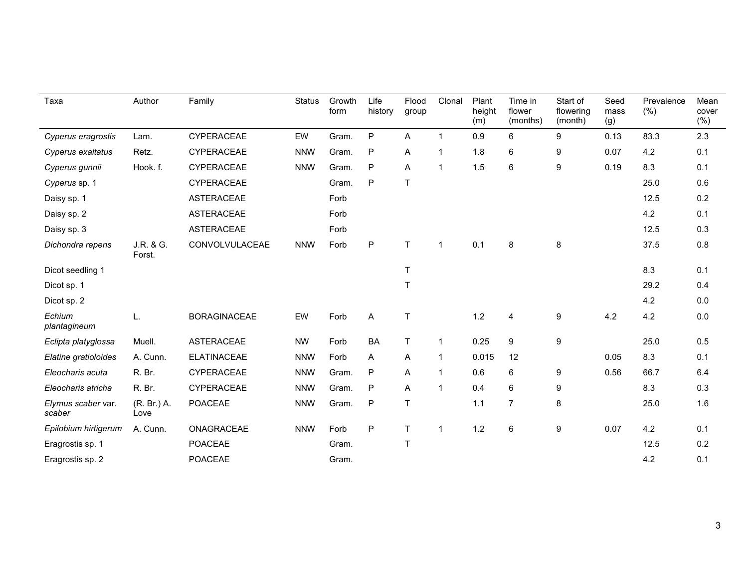| Taxa                         | Author              | Family              | <b>Status</b> | Growth<br>form | Life<br>history | Flood<br>group | Clonal       | Plant<br>height<br>(m) | Time in<br>flower<br>(months) | Start of<br>flowering<br>(month) | Seed<br>mass<br>(g) | Prevalence<br>$(\% )$ | Mean<br>cover<br>(% ) |
|------------------------------|---------------------|---------------------|---------------|----------------|-----------------|----------------|--------------|------------------------|-------------------------------|----------------------------------|---------------------|-----------------------|-----------------------|
| Cyperus eragrostis           | Lam.                | CYPERACEAE          | EW            | Gram.          | $\sf P$         | Α              | $\mathbf{1}$ | 0.9                    | 6                             | 9                                | 0.13                | 83.3                  | 2.3                   |
| Cyperus exaltatus            | Retz.               | CYPERACEAE          | <b>NNW</b>    | Gram.          | $\mathsf{P}$    | Α              | $\mathbf 1$  | 1.8                    | 6                             | 9                                | 0.07                | 4.2                   | 0.1                   |
| Cyperus gunnii               | Hook. f.            | CYPERACEAE          | <b>NNW</b>    | Gram.          | $\mathsf{P}$    | Α              | $\mathbf 1$  | 1.5                    | 6                             | 9                                | 0.19                | 8.3                   | 0.1                   |
| Cyperus sp. 1                |                     | CYPERACEAE          |               | Gram.          | P               | $\mathsf T$    |              |                        |                               |                                  |                     | 25.0                  | 0.6                   |
| Daisy sp. 1                  |                     | <b>ASTERACEAE</b>   |               | Forb           |                 |                |              |                        |                               |                                  |                     | 12.5                  | 0.2                   |
| Daisy sp. 2                  |                     | <b>ASTERACEAE</b>   |               | Forb           |                 |                |              |                        |                               |                                  |                     | 4.2                   | 0.1                   |
| Daisy sp. 3                  |                     | <b>ASTERACEAE</b>   |               | Forb           |                 |                |              |                        |                               |                                  |                     | 12.5                  | 0.3                   |
| Dichondra repens             | J.R. & G.<br>Forst. | CONVOLVULACEAE      | <b>NNW</b>    | Forb           | $\sf P$         | T              | $\mathbf 1$  | 0.1                    | 8                             | $\bf 8$                          |                     | 37.5                  | 0.8                   |
| Dicot seedling 1             |                     |                     |               |                |                 | T              |              |                        |                               |                                  |                     | 8.3                   | 0.1                   |
| Dicot sp. 1                  |                     |                     |               |                |                 | $\mathsf T$    |              |                        |                               |                                  |                     | 29.2                  | 0.4                   |
| Dicot sp. 2                  |                     |                     |               |                |                 |                |              |                        |                               |                                  |                     | 4.2                   | 0.0                   |
| Echium<br>plantagineum       | L.                  | <b>BORAGINACEAE</b> | EW            | Forb           | A               | $\top$         |              | 1.2                    | 4                             | $\boldsymbol{9}$                 | 4.2                 | 4.2                   | 0.0                   |
| Eclipta platyglossa          | Muell.              | <b>ASTERACEAE</b>   | <b>NW</b>     | Forb           | <b>BA</b>       | $\mathsf T$    | $\mathbf 1$  | 0.25                   | 9                             | 9                                |                     | 25.0                  | 0.5                   |
| Elatine gratioloides         | A. Cunn.            | <b>ELATINACEAE</b>  | <b>NNW</b>    | Forb           | Α               | Α              | $\mathbf 1$  | 0.015                  | 12                            |                                  | 0.05                | 8.3                   | 0.1                   |
| Eleocharis acuta             | R. Br.              | <b>CYPERACEAE</b>   | <b>NNW</b>    | Gram.          | $\mathsf{P}$    | Α              | $\mathbf 1$  | 0.6                    | 6                             | 9                                | 0.56                | 66.7                  | 6.4                   |
| Eleocharis atricha           | R. Br.              | CYPERACEAE          | <b>NNW</b>    | Gram.          | P               | Α              | $\mathbf 1$  | 0.4                    | 6                             | 9                                |                     | 8.3                   | 0.3                   |
| Elymus scaber var.<br>scaber | (R. Br.) A.<br>Love | <b>POACEAE</b>      | <b>NNW</b>    | Gram.          | P               | T              |              | 1.1                    | $\overline{7}$                | 8                                |                     | 25.0                  | 1.6                   |
| Epilobium hirtigerum         | A. Cunn.            | ONAGRACEAE          | <b>NNW</b>    | Forb           | $\mathsf{P}$    | T              | $\mathbf{1}$ | 1.2                    | 6                             | 9                                | 0.07                | 4.2                   | 0.1                   |
| Eragrostis sp. 1             |                     | <b>POACEAE</b>      |               | Gram.          |                 | T              |              |                        |                               |                                  |                     | 12.5                  | 0.2                   |
| Eragrostis sp. 2             |                     | <b>POACEAE</b>      |               | Gram.          |                 |                |              |                        |                               |                                  |                     | 4.2                   | 0.1                   |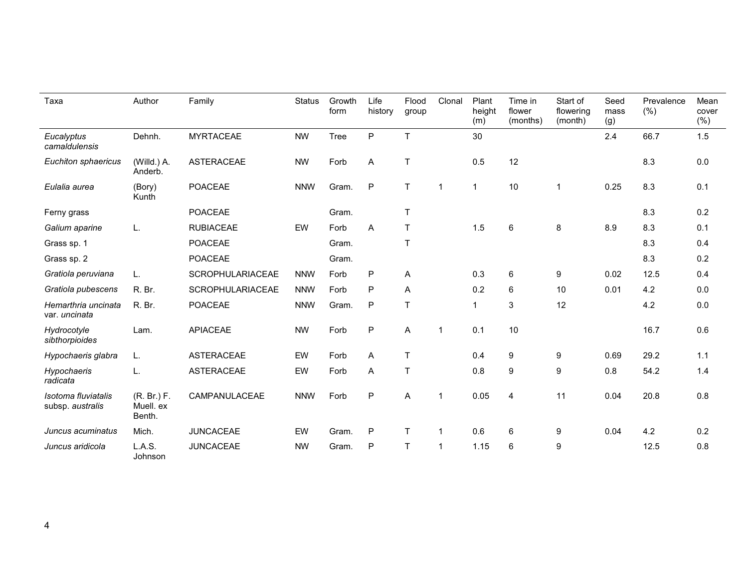| Taxa                                    | Author                             | Family            | <b>Status</b> | Growth<br>form | Life<br>history | Flood<br>group | Clonal         | Plant<br>height<br>(m)  | Time in<br>flower<br>(months) | Start of<br>flowering<br>(month) | Seed<br>mass<br>(g) | Prevalence<br>(% ) | Mean<br>cover<br>(% ) |
|-----------------------------------------|------------------------------------|-------------------|---------------|----------------|-----------------|----------------|----------------|-------------------------|-------------------------------|----------------------------------|---------------------|--------------------|-----------------------|
| Eucalyptus<br>camaldulensis             | Dehnh.                             | <b>MYRTACEAE</b>  | <b>NW</b>     | <b>Tree</b>    | P               | $\mathsf{T}$   |                | 30                      |                               |                                  | 2.4                 | 66.7               | 1.5                   |
| Euchiton sphaericus                     | (Willd.) A.<br>Anderb.             | <b>ASTERACEAE</b> | <b>NW</b>     | Forb           | Α               | T              |                | 0.5                     | 12                            |                                  |                     | 8.3                | $0.0\,$               |
| Eulalia aurea                           | (Bory)<br>Kunth                    | <b>POACEAE</b>    | <b>NNW</b>    | Gram.          | P               | $\mathsf{T}$   | $\overline{1}$ | $\overline{1}$          | 10                            | $\mathbf{1}$                     | 0.25                | 8.3                | 0.1                   |
| Ferny grass                             |                                    | POACEAE           |               | Gram.          |                 | $\mathsf{T}$   |                |                         |                               |                                  |                     | 8.3                | 0.2                   |
| Galium aparine                          | L.                                 | <b>RUBIACEAE</b>  | EW            | Forb           | Α               | $\mathsf{T}$   |                | 1.5                     | 6                             | 8                                | 8.9                 | 8.3                | 0.1                   |
| Grass sp. 1                             |                                    | <b>POACEAE</b>    |               | Gram.          |                 | T              |                |                         |                               |                                  |                     | 8.3                | 0.4                   |
| Grass sp. 2                             |                                    | <b>POACEAE</b>    |               | Gram.          |                 |                |                |                         |                               |                                  |                     | 8.3                | 0.2                   |
| Gratiola peruviana                      | L.                                 | SCROPHULARIACEAE  | <b>NNW</b>    | Forb           | P               | Α              |                | 0.3                     | $\,6\,$                       | 9                                | 0.02                | 12.5               | 0.4                   |
| Gratiola pubescens                      | R. Br.                             | SCROPHULARIACEAE  | <b>NNW</b>    | Forb           | P               | Α              |                | 0.2                     | 6                             | 10                               | 0.01                | 4.2                | 0.0                   |
| Hemarthria uncinata<br>var. uncinata    | R. Br.                             | <b>POACEAE</b>    | <b>NNW</b>    | Gram.          | P               | $\mathsf{T}$   |                | $\overline{\mathbf{1}}$ | 3                             | 12                               |                     | 4.2                | 0.0                   |
| Hydrocotyle<br>sibthorpioides           | Lam.                               | <b>APIACEAE</b>   | <b>NW</b>     | Forb           | P               | Α              | $\overline{1}$ | 0.1                     | 10                            |                                  |                     | 16.7               | 0.6                   |
| Hypochaeris glabra                      | L.                                 | <b>ASTERACEAE</b> | EW            | Forb           | Α               | $\mathsf{T}$   |                | 0.4                     | 9                             | 9                                | 0.69                | 29.2               | 1.1                   |
| Hypochaeris<br>radicata                 | L.                                 | <b>ASTERACEAE</b> | EW            | Forb           | A               | T              |                | 0.8                     | $\boldsymbol{9}$              | 9                                | 0.8                 | 54.2               | 1.4                   |
| Isotoma fluviatalis<br>subsp. australis | (R. Br.) F.<br>Muell. ex<br>Benth. | CAMPANULACEAE     | <b>NNW</b>    | Forb           | P               | A              | -1             | 0.05                    | $\overline{4}$                | 11                               | 0.04                | 20.8               | 0.8                   |
| Juncus acuminatus                       | Mich.                              | <b>JUNCACEAE</b>  | EW            | Gram.          | ${\sf P}$       | $\mathsf{T}$   | $\mathbf 1$    | 0.6                     | $\,6\,$                       | 9                                | 0.04                | 4.2                | 0.2                   |
| Juncus aridicola                        | L.A.S.<br>Johnson                  | <b>JUNCACEAE</b>  | <b>NW</b>     | Gram.          | P               | $\mathsf T$    | $\mathbf 1$    | 1.15                    | 6                             | 9                                |                     | 12.5               | 0.8                   |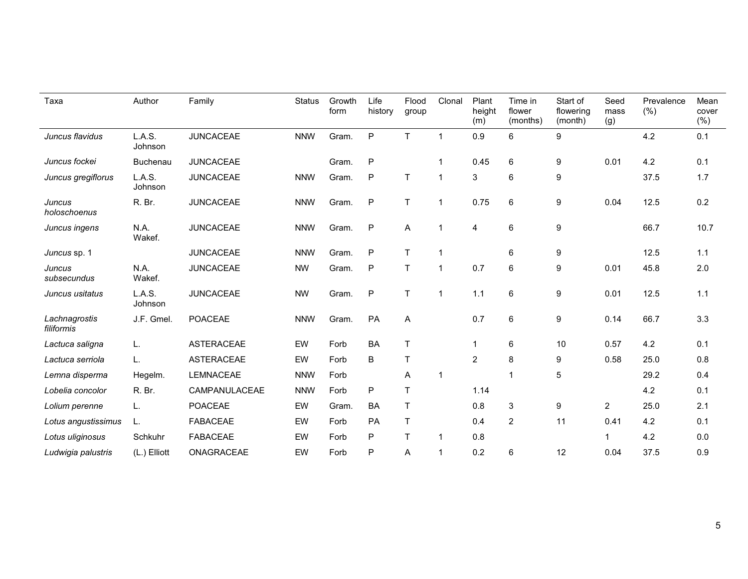| Taxa                        | Author            | Family            | <b>Status</b> | Growth<br>form | Life<br>history | Flood<br>group | Clonal         | Plant<br>height<br>(m) | Time in<br>flower<br>(months) | Start of<br>flowering<br>(month) | Seed<br>mass<br>(g) | Prevalence<br>(% ) | Mean<br>cover<br>(%) |
|-----------------------------|-------------------|-------------------|---------------|----------------|-----------------|----------------|----------------|------------------------|-------------------------------|----------------------------------|---------------------|--------------------|----------------------|
| Juncus flavidus             | L.A.S.<br>Johnson | <b>JUNCACEAE</b>  | <b>NNW</b>    | Gram.          | $\mathsf{P}$    | $\mathsf{T}$   | $\overline{1}$ | 0.9                    | 6                             | $\boldsymbol{9}$                 |                     | 4.2                | 0.1                  |
| Juncus fockei               | <b>Buchenau</b>   | <b>JUNCACEAE</b>  |               | Gram.          | $\mathsf{P}$    |                |                | 0.45                   | $\,6\,$                       | $\boldsymbol{9}$                 | 0.01                | 4.2                | 0.1                  |
| Juncus gregiflorus          | L.A.S.<br>Johnson | <b>JUNCACEAE</b>  | <b>NNW</b>    | Gram.          | $\mathsf{P}$    | $\top$         | $\mathbf 1$    | 3                      | 6                             | $\boldsymbol{9}$                 |                     | 37.5               | 1.7                  |
| Juncus<br>holoschoenus      | R. Br.            | <b>JUNCACEAE</b>  | <b>NNW</b>    | Gram.          | $\mathsf{P}$    | $\mathsf T$    | 1              | 0.75                   | $6\phantom{1}6$               | $\boldsymbol{9}$                 | 0.04                | 12.5               | 0.2                  |
| Juncus ingens               | N.A.<br>Wakef.    | <b>JUNCACEAE</b>  | <b>NNW</b>    | Gram.          | $\mathsf{P}$    | A              | 1              | 4                      | $\,6$                         | $\boldsymbol{9}$                 |                     | 66.7               | 10.7                 |
| Juncus sp. 1                |                   | <b>JUNCACEAE</b>  | <b>NNW</b>    | Gram.          | $\mathsf{P}$    | $\mathsf{T}$   |                |                        | 6                             | 9                                |                     | 12.5               | 1.1                  |
| Juncus<br>subsecundus       | N.A.<br>Wakef.    | <b>JUNCACEAE</b>  | <b>NW</b>     | Gram.          | $\mathsf{P}$    | T              | 1              | 0.7                    | 6                             | 9                                | 0.01                | 45.8               | 2.0                  |
| Juncus usitatus             | L.A.S.<br>Johnson | <b>JUNCACEAE</b>  | <b>NW</b>     | Gram.          | $\mathsf{P}$    | $\top$         | 1              | 1.1                    | 6                             | $\boldsymbol{9}$                 | 0.01                | 12.5               | 1.1                  |
| Lachnagrostis<br>filiformis | J.F. Gmel.        | POACEAE           | <b>NNW</b>    | Gram.          | PA              | A              |                | 0.7                    | $6\phantom{1}6$               | $\boldsymbol{9}$                 | 0.14                | 66.7               | 3.3                  |
| Lactuca saligna             | L.                | <b>ASTERACEAE</b> | EW            | Forb           | <b>BA</b>       | $\sf T$        |                | $\mathbf{1}$           | 6                             | 10                               | 0.57                | 4.2                | 0.1                  |
| Lactuca serriola            | L.                | <b>ASTERACEAE</b> | EW            | Forb           | B               | $\mathsf T$    |                | $\overline{2}$         | 8                             | 9                                | 0.58                | 25.0               | 0.8                  |
| Lemna disperma              | Hegelm.           | LEMNACEAE         | <b>NNW</b>    | Forb           |                 | Α              | 1              |                        | 1                             | $\overline{5}$                   |                     | 29.2               | 0.4                  |
| Lobelia concolor            | R. Br.            | CAMPANULACEAE     | <b>NNW</b>    | Forb           | ${\sf P}$       | T              |                | 1.14                   |                               |                                  |                     | 4.2                | 0.1                  |
| Lolium perenne              | L.                | POACEAE           | EW            | Gram.          | BA              | $\top$         |                | 0.8                    | 3                             | 9                                | $\overline{2}$      | 25.0               | 2.1                  |
| Lotus angustissimus         | L.                | <b>FABACEAE</b>   | EW            | Forb           | PA              | $\top$         |                | 0.4                    | $\overline{c}$                | 11                               | 0.41                | 4.2                | 0.1                  |
| Lotus uliginosus            | Schkuhr           | <b>FABACEAE</b>   | EW            | Forb           | P               | T              | 1              | 0.8                    |                               |                                  | 1                   | 4.2                | 0.0                  |
| Ludwigia palustris          | (L.) Elliott      | ONAGRACEAE        | EW            | Forb           | P               | Α              | 1              | 0.2                    | 6                             | 12                               | 0.04                | 37.5               | 0.9                  |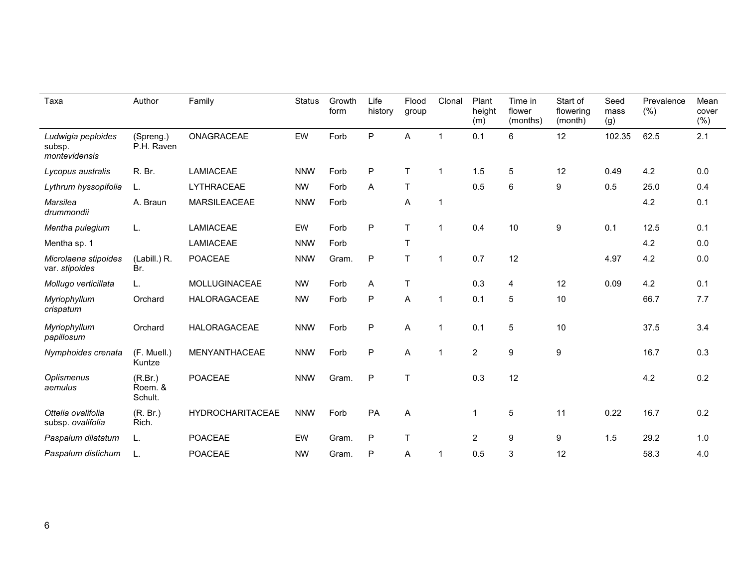| Taxa                                          | Author                        | Family                  | <b>Status</b> | Growth<br>form | Life<br>history | Flood<br>group | Clonal         | Plant<br>height<br>(m) | Time in<br>flower<br>(months) | Start of<br>flowering<br>(month) | Seed<br>mass<br>(g) | Prevalence<br>(% ) | Mean<br>cover<br>(% ) |
|-----------------------------------------------|-------------------------------|-------------------------|---------------|----------------|-----------------|----------------|----------------|------------------------|-------------------------------|----------------------------------|---------------------|--------------------|-----------------------|
| Ludwigia peploides<br>subsp.<br>montevidensis | (Spreng.)<br>P.H. Raven       | ONAGRACEAE              | EW            | Forb           | P               | A              | $\mathbf{1}$   | 0.1                    | 6                             | 12                               | 102.35              | 62.5               | 2.1                   |
| Lycopus australis                             | R. Br.                        | <b>LAMIACEAE</b>        | <b>NNW</b>    | Forb           | P               | T              | $\mathbf{1}$   | 1.5                    | 5                             | 12                               | 0.49                | 4.2                | 0.0                   |
| Lythrum hyssopifolia                          | L.                            | LYTHRACEAE              | <b>NW</b>     | Forb           | A               | T              |                | 0.5                    | 6                             | 9                                | 0.5                 | 25.0               | 0.4                   |
| Marsilea<br>drummondii                        | A. Braun                      | <b>MARSILEACEAE</b>     | <b>NNW</b>    | Forb           |                 | Α              | $\overline{1}$ |                        |                               |                                  |                     | 4.2                | 0.1                   |
| Mentha pulegium                               | L.                            | <b>LAMIACEAE</b>        | EW            | Forb           | P               | T.             | $\mathbf 1$    | 0.4                    | 10                            | $\boldsymbol{9}$                 | 0.1                 | 12.5               | 0.1                   |
| Mentha sp. 1                                  |                               | <b>LAMIACEAE</b>        | <b>NNW</b>    | Forb           |                 | T              |                |                        |                               |                                  |                     | 4.2                | 0.0                   |
| Microlaena stipoides<br>var. stipoides        | (Labill.) R.<br>Br.           | <b>POACEAE</b>          | <b>NNW</b>    | Gram.          | P               | T.             | $\mathbf 1$    | 0.7                    | 12                            |                                  | 4.97                | 4.2                | 0.0                   |
| Mollugo verticillata                          | L.                            | <b>MOLLUGINACEAE</b>    | <b>NW</b>     | Forb           | Α               | T              |                | 0.3                    | 4                             | 12                               | 0.09                | 4.2                | 0.1                   |
| Myriophyllum<br>crispatum                     | Orchard                       | HALORAGACEAE            | <b>NW</b>     | Forb           | P               | Α              | $\mathbf 1$    | 0.1                    | 5                             | 10                               |                     | 66.7               | 7.7                   |
| Myriophyllum<br>papillosum                    | Orchard                       | <b>HALORAGACEAE</b>     | <b>NNW</b>    | Forb           | P               | A              | $\mathbf{1}$   | 0.1                    | 5                             | 10                               |                     | 37.5               | 3.4                   |
| Nymphoides crenata                            | (F. Muell.)<br>Kuntze         | MENYANTHACEAE           | <b>NNW</b>    | Forb           | P               | Α              | $\mathbf 1$    | $\overline{2}$         | 9                             | 9                                |                     | 16.7               | 0.3                   |
| Oplismenus<br>aemulus                         | (R.Br.)<br>Roem. &<br>Schult. | <b>POACEAE</b>          | <b>NNW</b>    | Gram.          | P               | T              |                | 0.3                    | 12                            |                                  |                     | 4.2                | 0.2                   |
| Ottelia ovalifolia<br>subsp. ovalifolia       | (R. Br.)<br>Rich.             | <b>HYDROCHARITACEAE</b> | <b>NNW</b>    | Forb           | PA              | Α              |                | $\overline{1}$         | 5                             | 11                               | 0.22                | 16.7               | 0.2                   |
| Paspalum dilatatum                            | L.                            | <b>POACEAE</b>          | EW            | Gram.          | P               | T              |                | $\overline{2}$         | 9                             | 9                                | 1.5                 | 29.2               | 1.0                   |
| Paspalum distichum                            | L.                            | <b>POACEAE</b>          | <b>NW</b>     | Gram.          | P               | Α              | 1              | 0.5                    | 3                             | 12                               |                     | 58.3               | 4.0                   |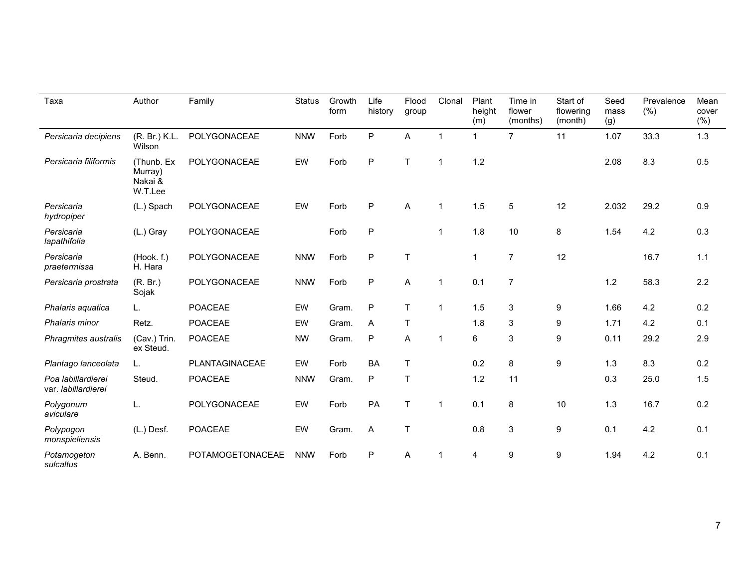| Taxa                                      | Author                                      | Family           | <b>Status</b> | Growth<br>form | Life<br>history | Flood<br>group | Clonal         | Plant<br>height<br>(m)  | Time in<br>flower<br>(months) | Start of<br>flowering<br>(month) | Seed<br>mass<br>(g) | Prevalence<br>(% ) | Mean<br>cover<br>(% ) |
|-------------------------------------------|---------------------------------------------|------------------|---------------|----------------|-----------------|----------------|----------------|-------------------------|-------------------------------|----------------------------------|---------------------|--------------------|-----------------------|
| Persicaria decipiens                      | (R. Br.) K.L.<br>Wilson                     | POLYGONACEAE     | <b>NNW</b>    | Forb           | $\sf P$         | A              | $\overline{1}$ | $\mathbf{1}$            | $\overline{7}$                | 11                               | 1.07                | 33.3               | 1.3                   |
| Persicaria filiformis                     | (Thunb. Ex<br>Murray)<br>Nakai &<br>W.T.Lee | POLYGONACEAE     | EW            | Forb           | $\mathsf{P}$    | T.             | -1             | 1.2                     |                               |                                  | 2.08                | 8.3                | 0.5                   |
| Persicaria<br>hydropiper                  | (L.) Spach                                  | POLYGONACEAE     | EW            | Forb           | $\mathsf{P}$    | A              | -1             | 1.5                     | $\overline{5}$                | 12                               | 2.032               | 29.2               | 0.9                   |
| Persicaria<br>lapathifolia                | (L.) Gray                                   | POLYGONACEAE     |               | Forb           | $\mathsf{P}$    |                | $\mathbf 1$    | 1.8                     | 10                            | 8                                | 1.54                | 4.2                | 0.3                   |
| Persicaria<br>praetermissa                | (Hook. f.)<br>H. Hara                       | POLYGONACEAE     | <b>NNW</b>    | Forb           | $\mathsf{P}$    | T              |                | $\overline{1}$          | $\overline{7}$                | 12                               |                     | 16.7               | 1.1                   |
| Persicaria prostrata                      | (R. Br.)<br>Sojak                           | POLYGONACEAE     | <b>NNW</b>    | Forb           | $\mathsf{P}$    | A              | -1             | 0.1                     | $\overline{7}$                |                                  | 1.2                 | 58.3               | 2.2                   |
| Phalaris aguatica                         | L.                                          | POACEAE          | EW            | Gram.          | $\mathsf{P}$    | T              |                | 1.5                     | 3                             | 9                                | 1.66                | 4.2                | 0.2                   |
| Phalaris minor                            | Retz.                                       | POACEAE          | EW            | Gram.          | A               | T              |                | 1.8                     | $\mathsf 3$                   | 9                                | 1.71                | 4.2                | 0.1                   |
| Phragmites australis                      | (Cav.) Trin.<br>ex Steud.                   | <b>POACEAE</b>   | <b>NW</b>     | Gram.          | $\mathsf{P}$    | A              | -1             | 6                       | $\mathsf 3$                   | 9                                | 0.11                | 29.2               | 2.9                   |
| Plantago lanceolata                       | L.                                          | PLANTAGINACEAE   | EW            | Forb           | <b>BA</b>       | T              |                | 0.2                     | $\,8\,$                       | $\boldsymbol{9}$                 | 1.3                 | 8.3                | 0.2                   |
| Poa labillardierei<br>var. labillardierei | Steud.                                      | <b>POACEAE</b>   | <b>NNW</b>    | Gram.          | $\mathsf{P}$    | T              |                | 1.2                     | 11                            |                                  | 0.3                 | 25.0               | 1.5                   |
| Polygonum<br>aviculare                    | L.                                          | POLYGONACEAE     | EW            | Forb           | PA              | T              | 1              | 0.1                     | 8                             | $10$                             | 1.3                 | 16.7               | 0.2                   |
| Polypogon<br>monspieliensis               | (L.) Desf.                                  | POACEAE          | EW            | Gram.          | A               | $\mathsf{T}$   |                | 0.8                     | $\mathsf 3$                   | 9                                | 0.1                 | 4.2                | 0.1                   |
| Potamogeton<br>sulcaltus                  | A. Benn.                                    | POTAMOGETONACEAE | <b>NNW</b>    | Forb           | $\sf P$         | A              |                | $\overline{\mathbf{4}}$ | 9                             | $\boldsymbol{9}$                 | 1.94                | 4.2                | 0.1                   |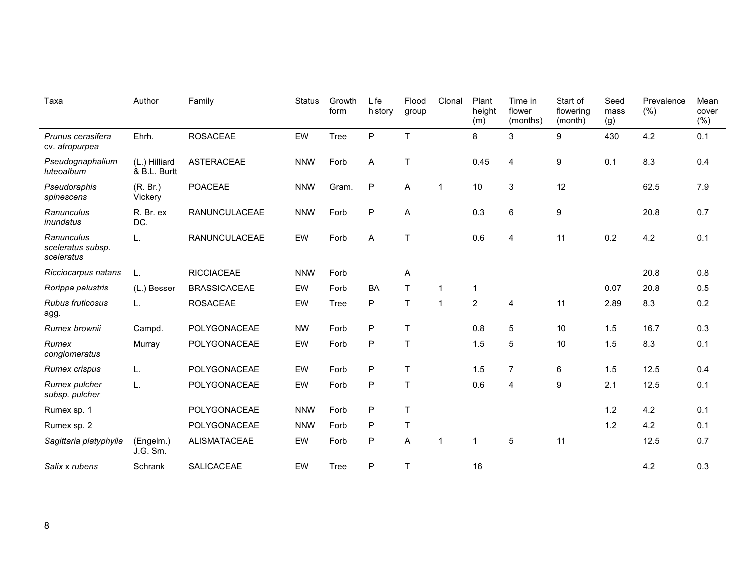| Taxa                                          | Author                        | Family               | <b>Status</b> | Growth<br>form | Life<br>history | Flood<br>group | Clonal         | Plant<br>height<br>(m) | Time in<br>flower<br>(months) | Start of<br>flowering<br>(month) | Seed<br>mass<br>(g) | Prevalence<br>(% ) | Mean<br>cover<br>(%) |
|-----------------------------------------------|-------------------------------|----------------------|---------------|----------------|-----------------|----------------|----------------|------------------------|-------------------------------|----------------------------------|---------------------|--------------------|----------------------|
| Prunus cerasifera<br>cv. atropurpea           | Ehrh.                         | <b>ROSACEAE</b>      | EW            | <b>Tree</b>    | $\mathsf{P}$    | $\top$         |                | 8                      | 3                             | 9                                | 430                 | 4.2                | 0.1                  |
| Pseudognaphalium<br>luteoalbum                | (L.) Hilliard<br>& B.L. Burtt | <b>ASTERACEAE</b>    | <b>NNW</b>    | Forb           | A               | $\mathsf T$    |                | 0.45                   | $\overline{4}$                | $\boldsymbol{9}$                 | 0.1                 | 8.3                | 0.4                  |
| Pseudoraphis<br>spinescens                    | (R. Br.)<br>Vickery           | <b>POACEAE</b>       | <b>NNW</b>    | Gram.          | $\mathsf{P}$    | A              | -1             | 10                     | 3                             | 12                               |                     | 62.5               | 7.9                  |
| Ranunculus<br>inundatus                       | R. Br. ex<br>DC.              | RANUNCULACEAE        | <b>NNW</b>    | Forb           | $\sf P$         | A              |                | 0.3                    | $6\phantom{1}$                | 9                                |                     | 20.8               | 0.7                  |
| Ranunculus<br>sceleratus subsp.<br>sceleratus | L.                            | <b>RANUNCULACEAE</b> | EW            | Forb           | A               | T              |                | 0.6                    | 4                             | 11                               | 0.2                 | 4.2                | 0.1                  |
| Ricciocarpus natans                           | L.                            | <b>RICCIACEAE</b>    | <b>NNW</b>    | Forb           |                 | A              |                |                        |                               |                                  |                     | 20.8               | 0.8                  |
| Rorippa palustris                             | (L.) Besser                   | <b>BRASSICACEAE</b>  | EW            | Forb           | <b>BA</b>       | $\mathsf{T}$   |                | 1                      |                               |                                  | 0.07                | 20.8               | 0.5                  |
| Rubus fruticosus<br>agg.                      | L.                            | <b>ROSACEAE</b>      | EW            | <b>Tree</b>    | P               | $\top$         | $\overline{1}$ | $\overline{2}$         | 4                             | 11                               | 2.89                | 8.3                | 0.2                  |
| Rumex brownii                                 | Campd.                        | POLYGONACEAE         | <b>NW</b>     | Forb           | $\mathsf P$     | $\top$         |                | 0.8                    | 5                             | 10                               | 1.5                 | 16.7               | 0.3                  |
| Rumex<br>conglomeratus                        | Murray                        | POLYGONACEAE         | EW            | Forb           | P               | $\mathsf T$    |                | 1.5                    | 5                             | 10                               | 1.5                 | 8.3                | 0.1                  |
| Rumex crispus                                 | L.                            | POLYGONACEAE         | EW            | Forb           | $\mathsf{P}$    | $\top$         |                | 1.5                    | $\overline{7}$                | 6                                | 1.5                 | 12.5               | 0.4                  |
| Rumex pulcher<br>subsp. pulcher               | L.                            | POLYGONACEAE         | EW            | Forb           | $\sf P$         | $\top$         |                | 0.6                    | 4                             | $\boldsymbol{9}$                 | 2.1                 | 12.5               | 0.1                  |
| Rumex sp. 1                                   |                               | POLYGONACEAE         | <b>NNW</b>    | Forb           | $\mathsf{P}$    | $\top$         |                |                        |                               |                                  | 1.2                 | 4.2                | 0.1                  |
| Rumex sp. 2                                   |                               | POLYGONACEAE         | <b>NNW</b>    | Forb           | $\sf P$         | $\top$         |                |                        |                               |                                  | 1.2                 | 4.2                | 0.1                  |
| Sagittaria platyphylla                        | (Engelm.)<br>J.G. Sm.         | <b>ALISMATACEAE</b>  | EW            | Forb           | $\sf P$         | A              |                | $\mathbf 1$            | 5                             | 11                               |                     | 12.5               | 0.7                  |
| Salix x rubens                                | Schrank                       | <b>SALICACEAE</b>    | EW            | <b>Tree</b>    | P               | T              |                | 16                     |                               |                                  |                     | 4.2                | 0.3                  |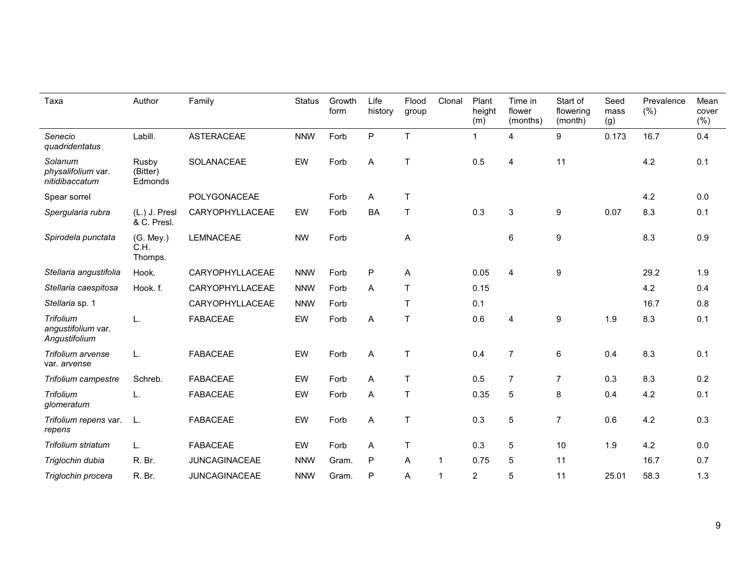| Taxa                                                    | Author                       | Family               | <b>Status</b> | Growth<br>form | Life<br>history           | Flood<br>group | Clonal | Plant<br>height<br>(m) | Time in<br>flower<br>(months) | Start of<br>flowering<br>(month) | Seed<br>mass<br>(g) | Prevalence<br>(%) | Mean<br>cover<br>(%) |
|---------------------------------------------------------|------------------------------|----------------------|---------------|----------------|---------------------------|----------------|--------|------------------------|-------------------------------|----------------------------------|---------------------|-------------------|----------------------|
| Senecio<br>quadridentatus                               | Labill.                      | <b>ASTERACEAE</b>    | <b>NNW</b>    | Forb           | $\mathsf{P}$              | T              |        | $\mathbf{1}$           | $\overline{4}$                | 9                                | 0.173               | 16.7              | 0.4                  |
| Solanum<br>physalifolium var.<br>nitidibaccatum         | Rusby<br>(Bitter)<br>Edmonds | SOLANACEAE           | EW            | Forb           | $\mathsf A$               | $\mathsf T$    |        | 0.5                    | 4                             | 11                               |                     | 4.2               | 0.1                  |
| Spear sorrel                                            |                              | POLYGONACEAE         |               | Forb           | Α                         | $\mathsf{T}$   |        |                        |                               |                                  |                     | 4.2               | 0.0                  |
| Spergularia rubra                                       | (L.) J. Presl<br>& C. Presl. | CARYOPHYLLACEAE      | EW            | Forb           | <b>BA</b>                 | $\mathsf T$    |        | 0.3                    | 3                             | $\boldsymbol{9}$                 | 0.07                | 8.3               | 0.1                  |
| Spirodela punctata                                      | (G. Mey.)<br>C.H.<br>Thomps. | <b>LEMNACEAE</b>     | <b>NW</b>     | Forb           |                           | A              |        |                        | 6                             | 9                                |                     | 8.3               | 0.9                  |
| Stellaria angustifolia                                  | Hook.                        | CARYOPHYLLACEAE      | <b>NNW</b>    | Forb           | ${\sf P}$                 | A              |        | 0.05                   | $\overline{4}$                | $\boldsymbol{9}$                 |                     | 29.2              | 1.9                  |
| Stellaria caespitosa                                    | Hook. f.                     | CARYOPHYLLACEAE      | <b>NNW</b>    | Forb           | A                         | $\mathsf T$    |        | 0.15                   |                               |                                  |                     | 4.2               | 0.4                  |
| Stellaria sp. 1                                         |                              | CARYOPHYLLACEAE      | <b>NNW</b>    | Forb           |                           | $\mathsf{T}$   |        | 0.1                    |                               |                                  |                     | 16.7              | 0.8                  |
| <b>Trifolium</b><br>angustifolium var.<br>Angustifolium | L.                           | <b>FABACEAE</b>      | EW            | Forb           | A                         | $\top$         |        | 0.6                    | 4                             | $\boldsymbol{9}$                 | 1.9                 | 8.3               | 0.1                  |
| Trifolium arvense<br>var. arvense                       | L.                           | <b>FABACEAE</b>      | EW            | Forb           | A                         | $\mathsf{T}$   |        | 0.4                    | $\overline{7}$                | 6                                | 0.4                 | 8.3               | 0.1                  |
| Trifolium campestre                                     | Schreb.                      | <b>FABACEAE</b>      | EW            | Forb           | A                         | $\mathsf T$    |        | 0.5                    | $\overline{7}$                | $\overline{7}$                   | 0.3                 | 8.3               | 0.2                  |
| Trifolium<br>glomeratum                                 | L.                           | <b>FABACEAE</b>      | EW            | Forb           | A                         | $\mathsf T$    |        | 0.35                   | 5                             | 8                                | 0.4                 | 4.2               | 0.1                  |
| Trifolium repens var.<br>repens                         | L.                           | <b>FABACEAE</b>      | EW            | Forb           | $\boldsymbol{\mathsf{A}}$ | $\mathsf T$    |        | 0.3                    | 5                             | $\overline{7}$                   | 0.6                 | 4.2               | 0.3                  |
| Trifolium striatum                                      | L.                           | <b>FABACEAE</b>      | EW            | Forb           | Α                         | $\top$         |        | 0.3                    | 5                             | 10                               | 1.9                 | 4.2               | 0.0                  |
| Triglochin dubia                                        | R. Br.                       | <b>JUNCAGINACEAE</b> | <b>NNW</b>    | Gram.          | ${\sf P}$                 | A              | 1      | 0.75                   | 5                             | 11                               |                     | 16.7              | 0.7                  |
| Triglochin procera                                      | R. Br.                       | <b>JUNCAGINACEAE</b> | <b>NNW</b>    | Gram.          | P                         | A              | 1      | $\overline{c}$         | 5                             | 11                               | 25.01               | 58.3              | 1.3                  |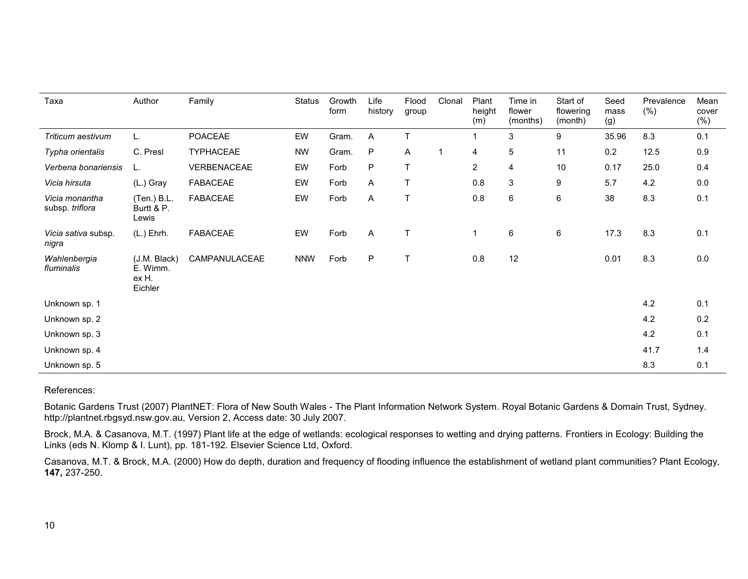| Taxa                              | Author                                       | Family           | <b>Status</b> | Growth<br>form | Life<br>history | Flood<br>group | Clonal         | Plant<br>height<br>(m) | Time in<br>flower<br>(months) | Start of<br>flowering<br>(month) | Seed<br>mass<br>(g) | Prevalence<br>(% ) | Mean<br>cover<br>(%) |
|-----------------------------------|----------------------------------------------|------------------|---------------|----------------|-----------------|----------------|----------------|------------------------|-------------------------------|----------------------------------|---------------------|--------------------|----------------------|
| Triticum aestivum                 | L.                                           | POACEAE          | EW            | Gram.          | Α               | T              |                |                        | $\mathsf 3$                   | 9                                | 35.96               | 8.3                | 0.1                  |
| Typha orientalis                  | C. Presl                                     | <b>TYPHACEAE</b> | <b>NW</b>     | Gram.          | ${\sf P}$       | A              | $\overline{1}$ | 4                      | $\overline{5}$                | 11                               | 0.2                 | 12.5               | 0.9                  |
| Verbena bonariensis               | L.                                           | VERBENACEAE      | EW            | Forb           | ${\sf P}$       | T              |                | $\overline{2}$         | 4                             | 10                               | 0.17                | 25.0               | 0.4                  |
| Vicia hirsuta                     | (L.) Gray                                    | <b>FABACEAE</b>  | EW            | Forb           | Α               | T              |                | 0.8                    | 3                             | $\boldsymbol{9}$                 | 5.7                 | 4.2                | 0.0                  |
| Vicia monantha<br>subsp. triflora | (Ten.) B.L.<br>Burtt & P.<br>Lewis           | <b>FABACEAE</b>  | EW            | Forb           | A               | T              |                | 0.8                    | 6                             | 6                                | 38                  | 8.3                | 0.1                  |
| Vicia sativa subsp.<br>nigra      | $(L.)$ Ehrh.                                 | <b>FABACEAE</b>  | EW            | Forb           | A               | T              |                | $\overline{1}$         | 6                             | $\,6\,$                          | 17.3                | 8.3                | 0.1                  |
| Wahlenbergia<br>fluminalis        | (J.M. Black)<br>E. Wimm.<br>ex H.<br>Eichler | CAMPANULACEAE    | <b>NNW</b>    | Forb           | P               |                |                | 0.8                    | 12                            |                                  | 0.01                | 8.3                | 0.0                  |
| Unknown sp. 1                     |                                              |                  |               |                |                 |                |                |                        |                               |                                  |                     | 4.2                | 0.1                  |
| Unknown sp. 2                     |                                              |                  |               |                |                 |                |                |                        |                               |                                  |                     | 4.2                | 0.2                  |
| Unknown sp. 3                     |                                              |                  |               |                |                 |                |                |                        |                               |                                  |                     | 4.2                | 0.1                  |
| Unknown sp. 4                     |                                              |                  |               |                |                 |                |                |                        |                               |                                  |                     | 41.7               | 1.4                  |
| Unknown sp. 5                     |                                              |                  |               |                |                 |                |                |                        |                               |                                  |                     | 8.3                | 0.1                  |

## References:

Botanic Gardens Trust (2007) PlantNET: Flora of New South Wales - The Plant Information Network System. Royal Botanic Gardens & Domain Trust, Sydney. http://plantnet.rbgsyd.nsw.gov.au, Version 2, Access date: 30 July 2007.

Brock, M.A. & Casanova, M.T. (1997) Plant life at the edge of wetlands: ecological responses to wetting and drying patterns. Frontiers in Ecology: Building the Links (eds N. Klomp & I. Lunt), pp. 181-192. Elsevier Science Ltd, Oxford.

Casanova, M.T. & Brock, M.A. (2000) How do depth, duration and frequency of flooding influence the establishment of wetland plant communities? Plant Ecology, **147,** 237-250.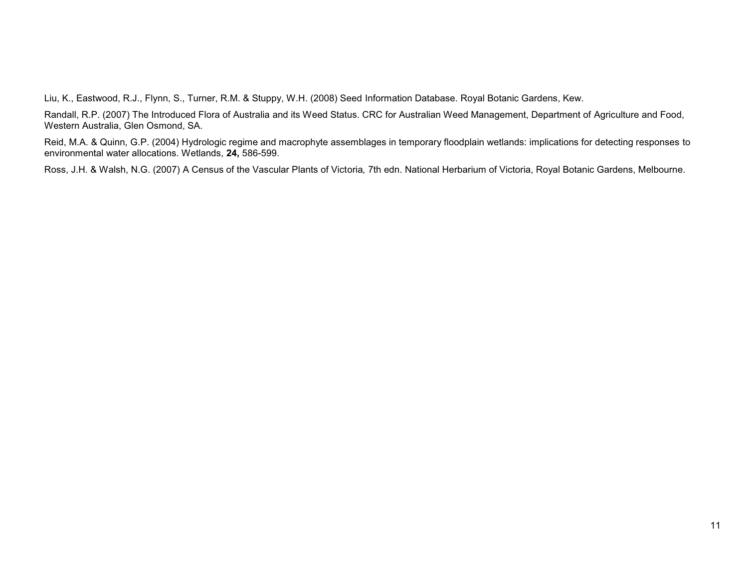Liu, K., Eastwood, R.J., Flynn, S., Turner, R.M. & Stuppy, W.H. (2008) Seed Information Database. Royal Botanic Gardens, Kew.

Randall, R.P. (2007) The Introduced Flora of Australia and its Weed Status. CRC for Australian Weed Management, Department of Agriculture and Food, Western Australia, Glen Osmond, SA.

Reid, M.A. & Quinn, G.P. (2004) Hydrologic regime and macrophyte assemblages in temporary floodplain wetlands: implications for detecting responses to environmental water allocations. Wetlands, **24,** 586-599.

Ross, J.H. & Walsh, N.G. (2007) A Census of the Vascular Plants of Victoria*,* 7th edn. National Herbarium of Victoria, Royal Botanic Gardens, Melbourne.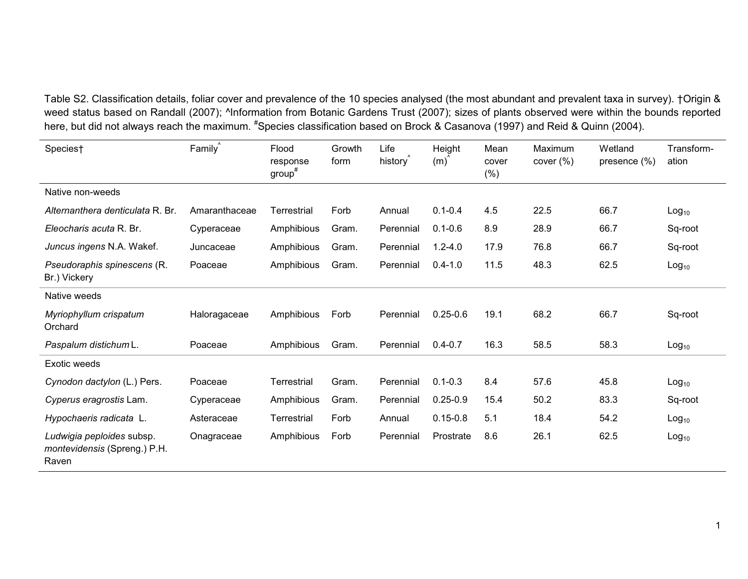Table S2. Classification details, foliar cover and prevalence of the 10 species analysed (the most abundant and prevalent taxa in survey). †Origin & weed status based on Randall (2007); ^Information from Botanic Gardens Trust (2007); sizes of plants observed were within the bounds reported here, but did not always reach the maximum. #Species classification based on Brock & Casanova (1997) and Reid & Quinn (2004).

| Species†                                                           | Family        | Flood<br>response<br>$group^*$ | Growth<br>form | Life<br>history <sup>®</sup> | Height<br>(m) | Mean<br>cover<br>$(\% )$ | Maximum<br>cover $(\%)$ | Wetland<br>presence $(\%)$ | Transform-<br>ation |
|--------------------------------------------------------------------|---------------|--------------------------------|----------------|------------------------------|---------------|--------------------------|-------------------------|----------------------------|---------------------|
| Native non-weeds                                                   |               |                                |                |                              |               |                          |                         |                            |                     |
| Alternanthera denticulata R. Br.                                   | Amaranthaceae | Terrestrial                    | Forb           | Annual                       | $0.1 - 0.4$   | 4.5                      | 22.5                    | 66.7                       | Log <sub>10</sub>   |
| Eleocharis acuta R. Br.                                            | Cyperaceae    | Amphibious                     | Gram.          | Perennial                    | $0.1 - 0.6$   | 8.9                      | 28.9                    | 66.7                       | Sq-root             |
| Juncus ingens N.A. Wakef.                                          | Juncaceae     | Amphibious                     | Gram.          | Perennial                    | $1.2 - 4.0$   | 17.9                     | 76.8                    | 66.7                       | Sq-root             |
| Pseudoraphis spinescens (R.<br>Br.) Vickery                        | Poaceae       | Amphibious                     | Gram.          | Perennial                    | $0.4 - 1.0$   | 11.5                     | 48.3                    | 62.5                       | Log <sub>10</sub>   |
| Native weeds                                                       |               |                                |                |                              |               |                          |                         |                            |                     |
| Myriophyllum crispatum<br>Orchard                                  | Haloragaceae  | Amphibious                     | Forb           | Perennial                    | $0.25 - 0.6$  | 19.1                     | 68.2                    | 66.7                       | Sq-root             |
| Paspalum distichum L.                                              | Poaceae       | Amphibious                     | Gram.          | Perennial                    | $0.4 - 0.7$   | 16.3                     | 58.5                    | 58.3                       | $Log_{10}$          |
| <b>Exotic weeds</b>                                                |               |                                |                |                              |               |                          |                         |                            |                     |
| Cynodon dactylon (L.) Pers.                                        | Poaceae       | Terrestrial                    | Gram.          | Perennial                    | $0.1 - 0.3$   | 8.4                      | 57.6                    | 45.8                       | Log <sub>10</sub>   |
| Cyperus eragrostis Lam.                                            | Cyperaceae    | Amphibious                     | Gram.          | Perennial                    | $0.25 - 0.9$  | 15.4                     | 50.2                    | 83.3                       | Sq-root             |
| Hypochaeris radicata L.                                            | Asteraceae    | Terrestrial                    | Forb           | Annual                       | $0.15 - 0.8$  | 5.1                      | 18.4                    | 54.2                       | Log <sub>10</sub>   |
| Ludwigia peploides subsp.<br>montevidensis (Spreng.) P.H.<br>Raven | Onagraceae    | Amphibious                     | Forb           | Perennial                    | Prostrate     | 8.6                      | 26.1                    | 62.5                       | Log <sub>10</sub>   |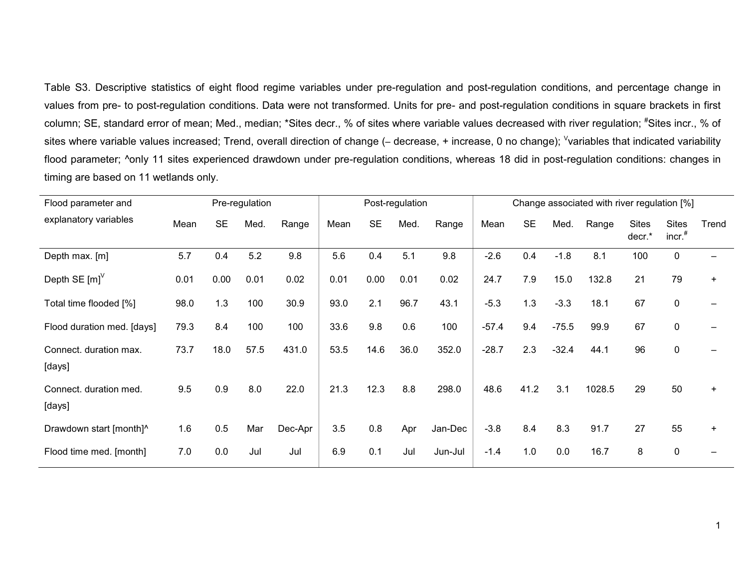Table S3. Descriptive statistics of eight flood regime variables under pre-regulation and post-regulation conditions, and percentage change in values from pre- to post-regulation conditions. Data were not transformed. Units for pre- and post-regulation conditions in square brackets in first column; SE, standard error of mean; Med., median; \*Sites decr., % of sites where variable values decreased with river regulation; <sup>#</sup>Sites incr., % of sites where variable values increased; Trend, overall direction of change (– decrease, + increase, 0 no change); <sup>v</sup>variables that indicated variability flood parameter; ^only 11 sites experienced drawdown under pre-regulation conditions, whereas 18 did in post-regulation conditions: changes in timing are based on 11 wetlands only.

| Pre-regulation<br>Flood parameter and |      |           |      |         |      |           | Post-regulation |         |         |           |         | Change associated with river regulation [%] |                        |                           |       |
|---------------------------------------|------|-----------|------|---------|------|-----------|-----------------|---------|---------|-----------|---------|---------------------------------------------|------------------------|---------------------------|-------|
| explanatory variables                 | Mean | <b>SE</b> | Med. | Range   | Mean | <b>SE</b> | Med.            | Range   | Mean    | <b>SE</b> | Med.    | Range                                       | <b>Sites</b><br>decr.* | <b>Sites</b><br>$incr.$ # | Trend |
| Depth max. [m]                        | 5.7  | 0.4       | 5.2  | 9.8     | 5.6  | 0.4       | 5.1             | 9.8     | $-2.6$  | 0.4       | $-1.8$  | 8.1                                         | 100                    | $\mathbf{0}$              |       |
| Depth SE $[m]^\vee$                   | 0.01 | 0.00      | 0.01 | 0.02    | 0.01 | 0.00      | 0.01            | 0.02    | 24.7    | 7.9       | 15.0    | 132.8                                       | 21                     | 79                        | $+$   |
| Total time flooded [%]                | 98.0 | 1.3       | 100  | 30.9    | 93.0 | 2.1       | 96.7            | 43.1    | $-5.3$  | 1.3       | $-3.3$  | 18.1                                        | 67                     | 0                         |       |
| Flood duration med. [days]            | 79.3 | 8.4       | 100  | 100     | 33.6 | 9.8       | 0.6             | 100     | $-57.4$ | 9.4       | $-75.5$ | 99.9                                        | 67                     | $\pmb{0}$                 |       |
| Connect. duration max.<br>[days]      | 73.7 | 18.0      | 57.5 | 431.0   | 53.5 | 14.6      | 36.0            | 352.0   | $-28.7$ | 2.3       | $-32.4$ | 44.1                                        | 96                     | $\mathbf 0$               |       |
| Connect. duration med.<br>[days]      | 9.5  | 0.9       | 8.0  | 22.0    | 21.3 | 12.3      | 8.8             | 298.0   | 48.6    | 41.2      | 3.1     | 1028.5                                      | 29                     | 50                        | $+$   |
| Drawdown start [month]^               | 1.6  | 0.5       | Mar  | Dec-Apr | 3.5  | 0.8       | Apr             | Jan-Dec | $-3.8$  | 8.4       | 8.3     | 91.7                                        | 27                     | 55                        | $+$   |
| Flood time med. [month]               | 7.0  | 0.0       | Jul  | Jul     | 6.9  | 0.1       | Jul             | Jun-Jul | $-1.4$  | 1.0       | 0.0     | 16.7                                        | 8                      | 0                         |       |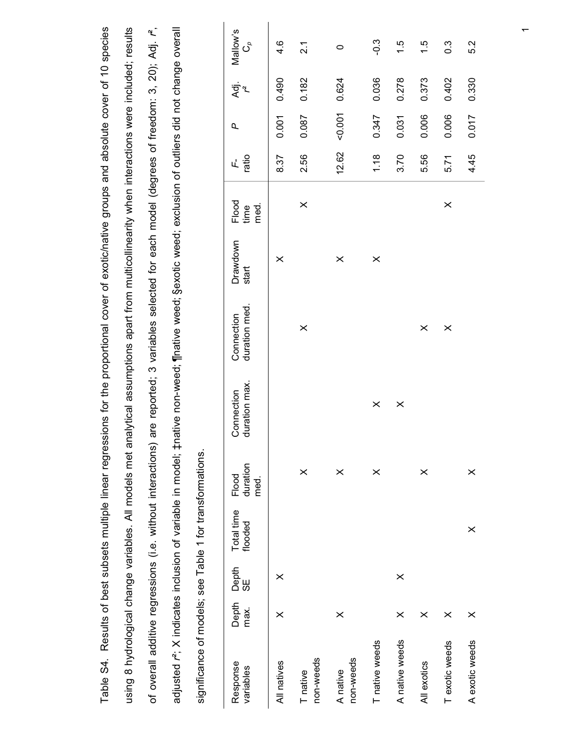| Table S4. Results of best subsets multiple linear regressions for the proportional cover of exotic/native groups and absolute cover of 10 species                   |
|---------------------------------------------------------------------------------------------------------------------------------------------------------------------|
| analytical assumptions apart from multicollinearity when interactions were included; results<br>using 8 hydrological change variables. All models met               |
| of overall additive regressions (i.e. without interactions) are reported; 3 variables selected for each model (degrees of freedom: 3, 20); Adj. r <sup>2</sup> ,    |
| tnative non-weed; ¶native weed; §exotic weed; exclusion of outliers did not change overall<br>adjusted r <sup>2</sup> ; X indicates inclusion of variable in model; |
| significance of models; see Table 1 for transformations.                                                                                                            |

| ch. igootu u algelez to colonicus angolotu x , passipe<br>significance of models; see Table 1 for transformations. |               |             |                       |                           |                             | letal process-control of the second of the second of the second second service over the conditional process over the second of the second of the second of the second of the second second second second second second second |                   |                       |             |       |                 |                                   |
|--------------------------------------------------------------------------------------------------------------------|---------------|-------------|-----------------------|---------------------------|-----------------------------|-------------------------------------------------------------------------------------------------------------------------------------------------------------------------------------------------------------------------------|-------------------|-----------------------|-------------|-------|-----------------|-----------------------------------|
| Response<br>variables                                                                                              | Depth<br>max. | Depth<br>SE | Total time<br>flooded | duration<br>Flood<br>med. | duration max.<br>Connection | duration med.<br>Connection                                                                                                                                                                                                   | Drawdown<br>start | Flood<br>med.<br>time | ratio<br>ц. | p     | ਤ੍ਰਾਂ<br>≮<br>L | Mallow's<br>$\mathcal{O}^{\circ}$ |
| All natives                                                                                                        | $\times$      | $\times$    |                       |                           |                             |                                                                                                                                                                                                                               | $\times$          |                       | 8.37        | 0.001 | 0.490           | $4.\overline{6}$                  |
| non-weeds<br>T native                                                                                              |               |             |                       | $\times$                  |                             | $\pmb{\times}$                                                                                                                                                                                                                |                   | $\times$              | 2.56        | 0.087 | 0.182           | 2.1                               |
| non-weeds<br>A native                                                                                              | $\times$      |             |                       | $\times$                  |                             |                                                                                                                                                                                                                               | $\times$          |                       | 12.62       | 1001  | 0.624           | $\circ$                           |
| T native weeds                                                                                                     |               |             |                       | $\times$                  | $\times$                    |                                                                                                                                                                                                                               | $\times$          |                       | 1.18        | 0.347 | 0.036           | $-0.3$                            |
| A native weeds                                                                                                     | $\times$      | $\times$    |                       |                           | $\pmb{\times}$              |                                                                                                                                                                                                                               |                   |                       | 3.70        | 0.031 | 0.278           | 1.5                               |
| All exotics                                                                                                        | $\times$      |             |                       | $\times$                  |                             | $\times$                                                                                                                                                                                                                      |                   |                       | 5.56        | 0.006 | 0.373           | 1.5                               |
| T exotic weeds                                                                                                     | $\times$      |             |                       |                           |                             | $\times$                                                                                                                                                                                                                      |                   | $\times$              | 5.71        | 0.006 | 0.402           | $0.\overline{3}$                  |
| A exotic weeds                                                                                                     | $\times$      |             | $\times$              | $\times$                  |                             |                                                                                                                                                                                                                               |                   |                       | 4.45        | 0.017 | 0.330           | 5.2                               |
|                                                                                                                    |               |             |                       |                           |                             |                                                                                                                                                                                                                               |                   |                       |             |       |                 |                                   |
|                                                                                                                    |               |             |                       |                           |                             |                                                                                                                                                                                                                               |                   |                       |             |       |                 |                                   |

 $\overline{a}$